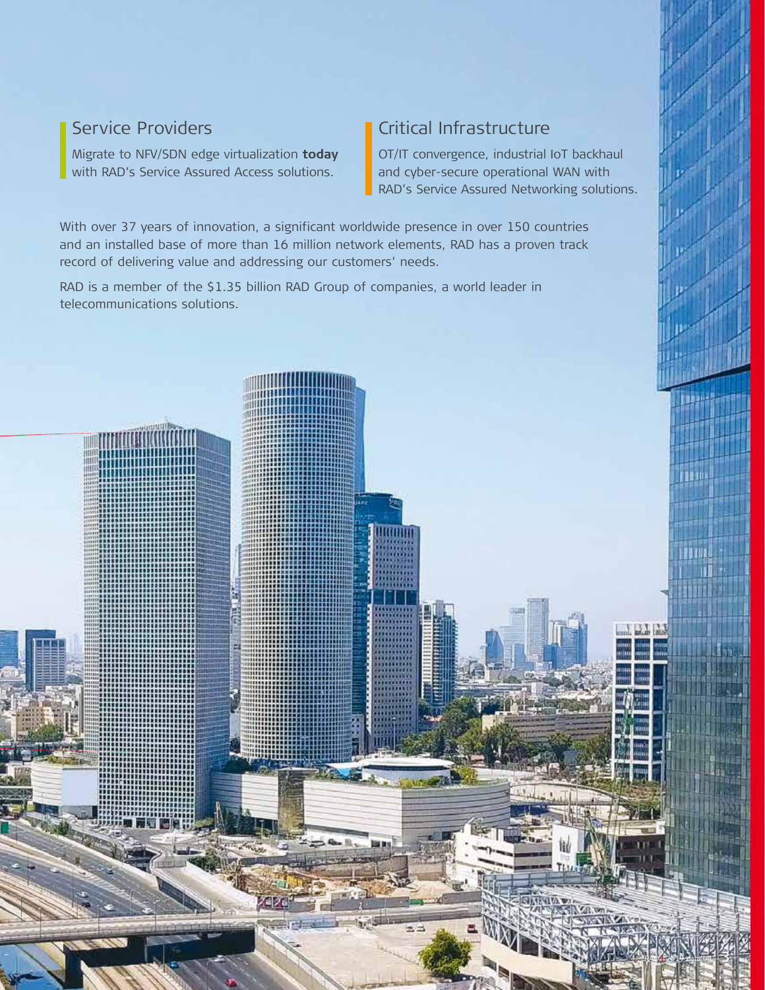## Service Providers

Migrate to NFV/SDN edge virtualization **today** with RAD's Service Assured Access solutions.

## Critical Infrastructure

OT/IT convergence, industrial IoT backhaul and cyber-secure operational WAN with RAD's Service Assured Networking solutions.

RAD **<sup>|</sup>** 2018 catalog 3

2019

With over 37 years of innovation, a significant worldwide presence in over 150 countries and an installed base of more than 16 million network elements, RAD has a proven track record of delivering value and addressing our customers' needs.

Hittilli

RAD is a member of the \$1.35 billion RAD Group of companies, a world leader in telecommunications solutions.